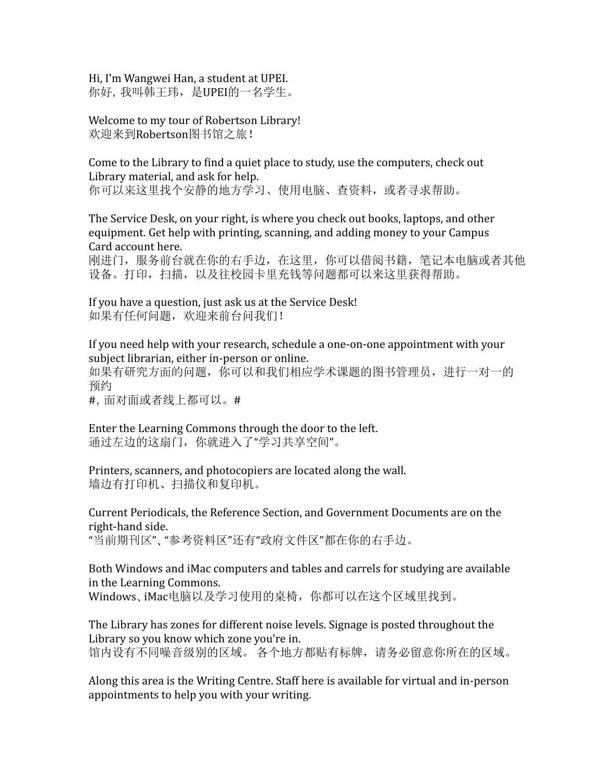Hi, I'm Wangwei Han, a student at UPEI. 你好,我叫韩王玮,是UPEI的一名学生。

Welcome to my tour of Robertson Library! 欢迎来到Robertson图书馆之旅!

Come to the Library to find a quiet place to study, use the computers, check out Library material, and ask for help. 你可以来这里找个安静的地方学习、使用电脑、查资料,或者寻求帮助。

The Service Desk, on your right, is where you check out books, laptops, and other equipment. Get help with printing, scanning, and adding money to your Campus Card account here.

刚进门,服务前台就在你的右手边,在这里,你可以借阅书籍,笔记本电脑或者其他 设备。打印,扫描,以及往校园卡里充钱等问题都可以来这里获得帮助。

If you have a question, just ask us at the Service Desk! 如果有任何问题,欢迎来前台问我们!

If you need help with your research, schedule a one-on-one appointment with your subject librarian, either in-person or online.

如果有研究方面的问题,你可以和我们相应学术课题的图书管理员,进行一对一的 预约

#,面对面或者线上都可以。#

Enter the Learning Commons through the door to the left. 通过左边的这扇门,你就进入了"学习共享空间"。

Printers, scanners, and photocopiers are located along the wall. 墙边有打印机、扫描仪和复印机。

Current Periodicals, the Reference Section, and Government Documents are on the right-hand side.

"当前期刊区"、"参考资料区"还有"政府文件区"都在你的右手边。

Both Windows and iMac computers and tables and carrels for studying are available in the Learning Commons. Windows、iMac电脑以及学习使用的桌椅,你都可以在这个区域里找到。

The Library has zones for different noise levels. Signage is posted throughout the Library so you know which zone you're in. 馆内设有不同噪音级别的区域。 各个地方都贴有标牌,请务必留意你所在的区域。

Along this area is the Writing Centre. Staff here is available for virtual and in-person appointments to help you with your writing.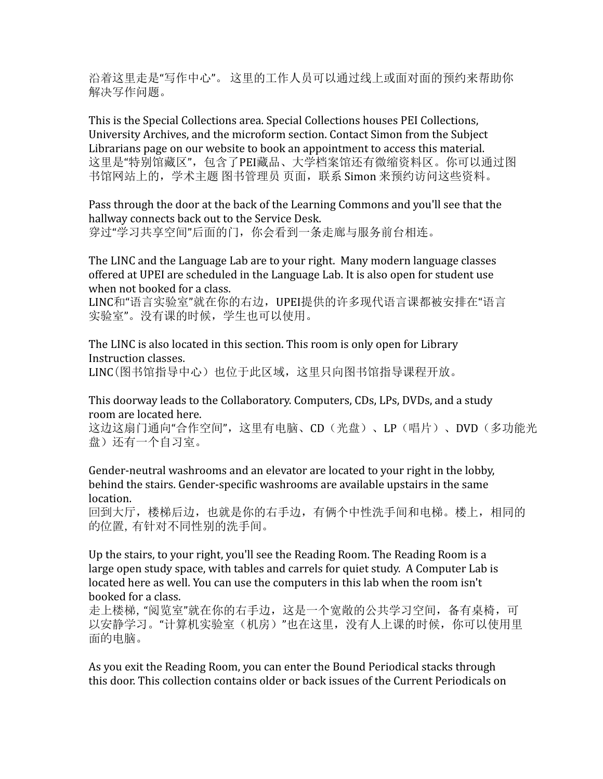沿着这里走是"写作中心"。 这里的工作人员可以通过线上或面对面的预约来帮助你 解决写作问题。

This is the Special Collections area. Special Collections houses PEI Collections, University Archives, and the microform section. Contact Simon from the Subject Librarians page on our website to book an appointment to access this material. 这里是"特别馆藏区",包含了PEI藏品、大学档案馆还有微缩资料区。你可以通过图 书馆网站上的,学术主题 图书管理员 页面,联系 Simon 来预约访问这些资料。

Pass through the door at the back of the Learning Commons and you'll see that the hallway connects back out to the Service Desk. 穿过"学习共享空间"后面的门,你会看到一条走廊与服务前台相连。

The LINC and the Language Lab are to your right. Many modern language classes offered at UPEI are scheduled in the Language Lab. It is also open for student use when not booked for a class.

LINC和"语言实验室"就在你的右边,UPEI提供的许多现代语言课都被安排在"语言 实验室"。没有课的时候,学生也可以使用。

The LINC is also located in this section. This room is only open for Library Instruction classes. LINC(图书馆指导中心)也位于此区域, 这里只向图书馆指导课程开放。

This doorway leads to the Collaboratory. Computers, CDs, LPs, DVDs, and a study room are located here.

这边这扇门通向"合作空间",这里有电脑、CD(光盘)、LP(唱片)、DVD(多功能光 盘)还有一个自习室。

Gender-neutral washrooms and an elevator are located to your right in the lobby, behind the stairs. Gender-specific washrooms are available upstairs in the same location.

回到大厅,楼梯后边,也就是你的右手边,有俩个中性洗手间和电梯。楼上,相同的 的位置,有针对不同性别的洗手间。

Up the stairs, to your right, you'll see the Reading Room. The Reading Room is a large open study space, with tables and carrels for quiet study. A Computer Lab is located here as well. You can use the computers in this lab when the room isn't booked for a class.

走上楼梯,"阅览室"就在你的右手边,这是一个宽敞的公共学习空间,备有桌椅,可 以安静学习。"计算机实验室(机房)"也在这里,没有人上课的时候,你可以使用里 面的电脑。

As you exit the Reading Room, you can enter the Bound Periodical stacks through this door. This collection contains older or back issues of the Current Periodicals on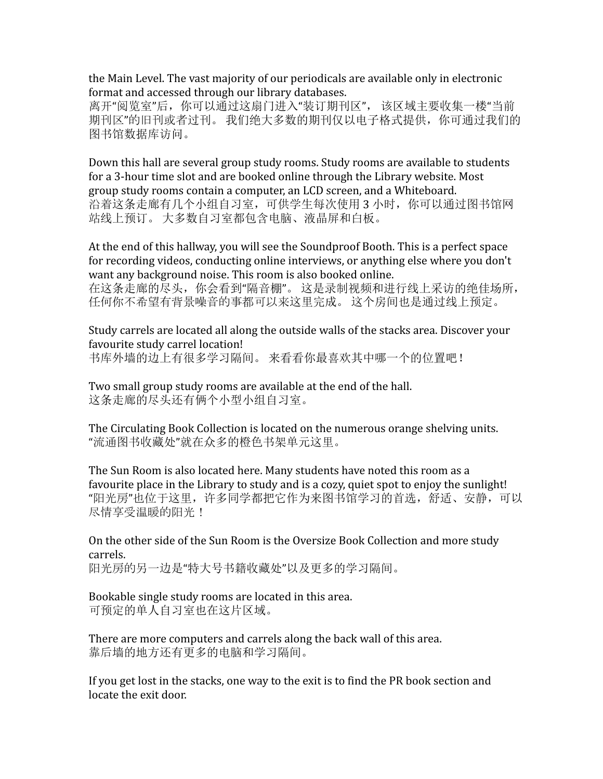the Main Level. The vast majority of our periodicals are available only in electronic format and accessed through our library databases.

离开"阅览室"后,你可以通过这扇门进入"装订期刊区", 该区域主要收集一楼"当前 期刊区"的旧刊或者过刊。 我们绝大多数的期刊仅以电子格式提供,你可通过我们的 图书馆数据库访问。

Down this hall are several group study rooms. Study rooms are available to students for a 3-hour time slot and are booked online through the Library website. Most group study rooms contain a computer, an LCD screen, and a Whiteboard. 沿着这条走廊有几个小组自习室,可供学生每次使用 3 小时,你可以通过图书馆网 站线上预订。 大多数自习室都包含电脑、液晶屏和白板。

At the end of this hallway, you will see the Soundproof Booth. This is a perfect space for recording videos, conducting online interviews, or anything else where you don't want any background noise. This room is also booked online.

在这条走廊的尽头,你会看到"隔音棚"。 这是录制视频和进行线上采访的绝佳场所, 任何你不希望有背景噪音的事都可以来这里完成。 这个房间也是通过线上预定。

Study carrels are located all along the outside walls of the stacks area. Discover your favourite study carrel location! 书库外墙的边上有很多学习隔间。 来看看你最喜欢其中哪一个的位置吧!

Two small group study rooms are available at the end of the hall. 这条走廊的尽头还有俩个小型小组自习室。

The Circulating Book Collection is located on the numerous orange shelving units. "流通图书收藏处"就在众多的橙色书架单元这里。

The Sun Room is also located here. Many students have noted this room as a favourite place in the Library to study and is a cozy, quiet spot to enjoy the sunlight! "阳光房"也位于这里,许多同学都把它作为来图书馆学习的首选,舒适、安静,可以 尽情享受温暖的阳光!

On the other side of the Sun Room is the Oversize Book Collection and more study carrels. 阳光房的另一边是"特大号书籍收藏处"以及更多的学习隔间。

Bookable single study rooms are located in this area. 可预定的单人自习室也在这片区域。

There are more computers and carrels along the back wall of this area. 靠后墙的地方还有更多的电脑和学习隔间。

If you get lost in the stacks, one way to the exit is to find the PR book section and locate the exit door.